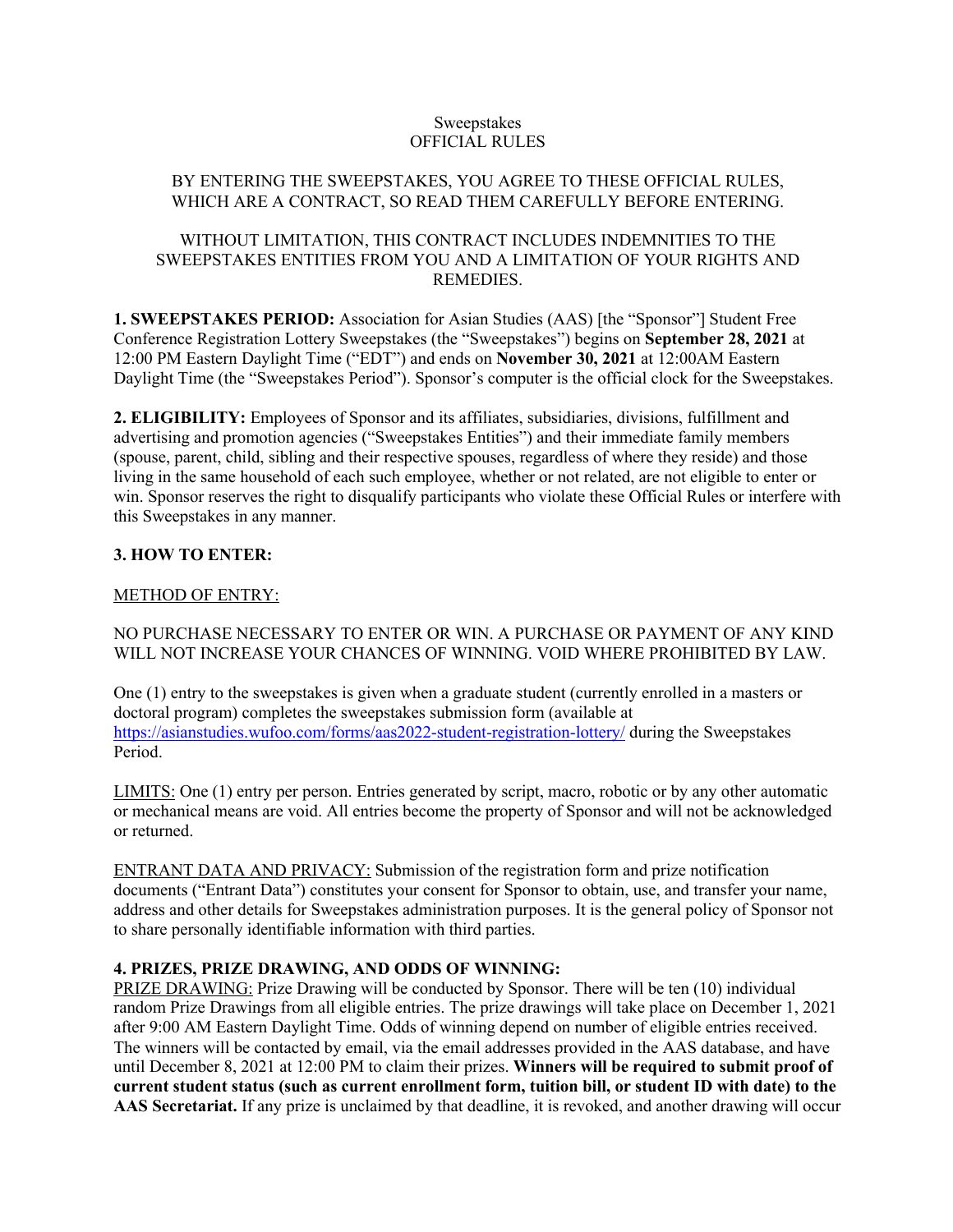### Sweepstakes OFFICIAL RULES

## BY ENTERING THE SWEEPSTAKES, YOU AGREE TO THESE OFFICIAL RULES, WHICH ARE A CONTRACT, SO READ THEM CAREFULLY BEFORE ENTERING.

### WITHOUT LIMITATION, THIS CONTRACT INCLUDES INDEMNITIES TO THE SWEEPSTAKES ENTITIES FROM YOU AND A LIMITATION OF YOUR RIGHTS AND REMEDIES.

**1. SWEEPSTAKES PERIOD:** Association for Asian Studies (AAS) [the "Sponsor"] Student Free Conference Registration Lottery Sweepstakes (the "Sweepstakes") begins on **September 28, 2021** at 12:00 PM Eastern Daylight Time ("EDT") and ends on **November 30, 2021** at 12:00AM Eastern Daylight Time (the "Sweepstakes Period"). Sponsor's computer is the official clock for the Sweepstakes.

**2. ELIGIBILITY:** Employees of Sponsor and its affiliates, subsidiaries, divisions, fulfillment and advertising and promotion agencies ("Sweepstakes Entities") and their immediate family members (spouse, parent, child, sibling and their respective spouses, regardless of where they reside) and those living in the same household of each such employee, whether or not related, are not eligible to enter or win. Sponsor reserves the right to disqualify participants who violate these Official Rules or interfere with this Sweepstakes in any manner.

# **3. HOW TO ENTER:**

### METHOD OF ENTRY:

NO PURCHASE NECESSARY TO ENTER OR WIN. A PURCHASE OR PAYMENT OF ANY KIND WILL NOT INCREASE YOUR CHANCES OF WINNING. VOID WHERE PROHIBITED BY LAW.

One (1) entry to the sweepstakes is given when a graduate student (currently enrolled in a masters or doctoral program) completes the sweepstakes submission form (available at https://asianstudies.wufoo.com/forms/aas2022-student-registration-lottery/ during the Sweepstakes Period.

LIMITS: One (1) entry per person. Entries generated by script, macro, robotic or by any other automatic or mechanical means are void. All entries become the property of Sponsor and will not be acknowledged or returned.

ENTRANT DATA AND PRIVACY: Submission of the registration form and prize notification documents ("Entrant Data") constitutes your consent for Sponsor to obtain, use, and transfer your name, address and other details for Sweepstakes administration purposes. It is the general policy of Sponsor not to share personally identifiable information with third parties.

### **4. PRIZES, PRIZE DRAWING, AND ODDS OF WINNING:**

PRIZE DRAWING: Prize Drawing will be conducted by Sponsor. There will be ten (10) individual random Prize Drawings from all eligible entries. The prize drawings will take place on December 1, 2021 after 9:00 AM Eastern Daylight Time. Odds of winning depend on number of eligible entries received. The winners will be contacted by email, via the email addresses provided in the AAS database, and have until December 8, 2021 at 12:00 PM to claim their prizes. **Winners will be required to submit proof of current student status (such as current enrollment form, tuition bill, or student ID with date) to the AAS Secretariat.** If any prize is unclaimed by that deadline, it is revoked, and another drawing will occur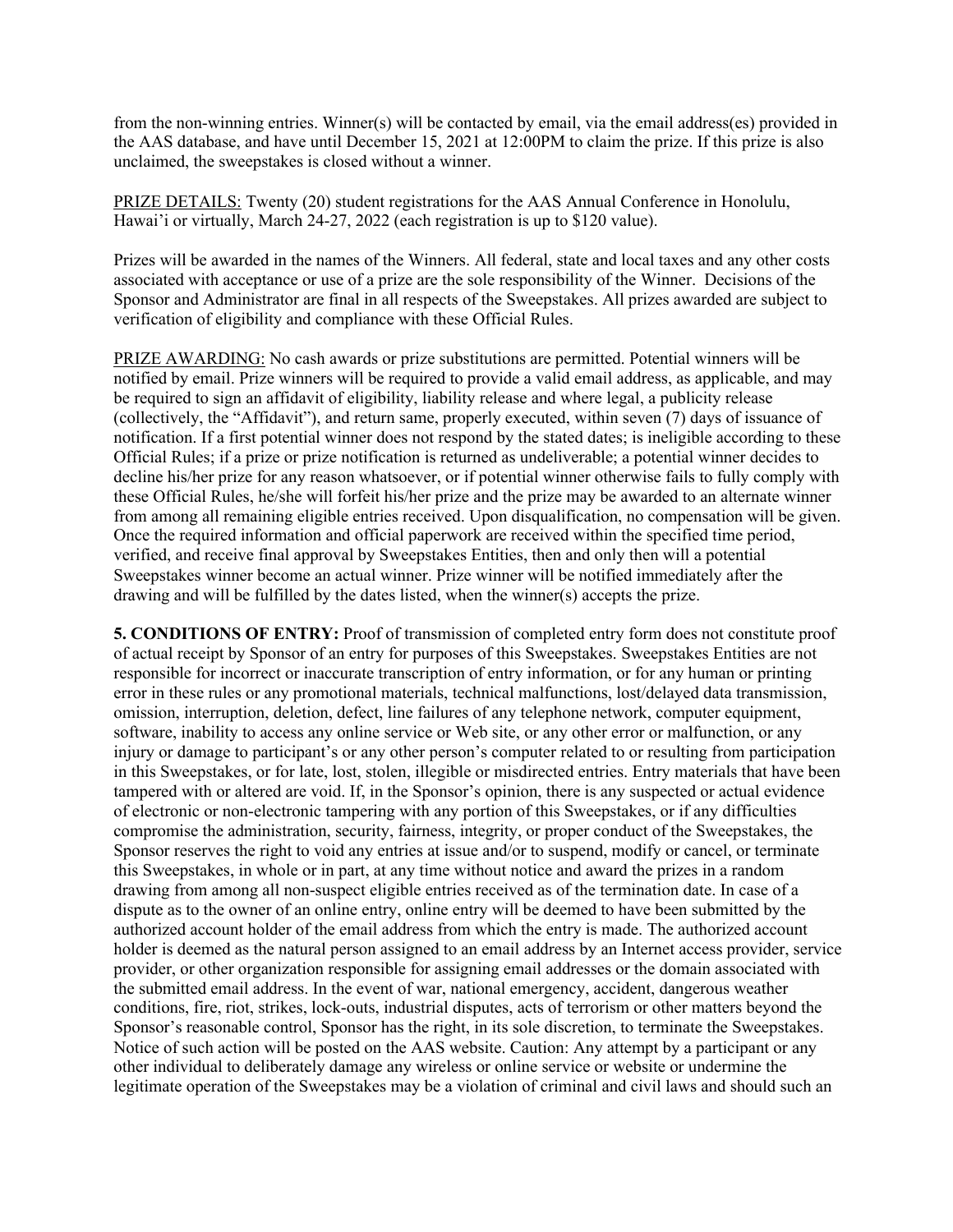from the non-winning entries. Winner(s) will be contacted by email, via the email address(es) provided in the AAS database, and have until December 15, 2021 at 12:00PM to claim the prize. If this prize is also unclaimed, the sweepstakes is closed without a winner.

PRIZE DETAILS: Twenty (20) student registrations for the AAS Annual Conference in Honolulu, Hawai'i or virtually, March 24-27, 2022 (each registration is up to \$120 value).

Prizes will be awarded in the names of the Winners. All federal, state and local taxes and any other costs associated with acceptance or use of a prize are the sole responsibility of the Winner. Decisions of the Sponsor and Administrator are final in all respects of the Sweepstakes. All prizes awarded are subject to verification of eligibility and compliance with these Official Rules.

PRIZE AWARDING: No cash awards or prize substitutions are permitted. Potential winners will be notified by email. Prize winners will be required to provide a valid email address, as applicable, and may be required to sign an affidavit of eligibility, liability release and where legal, a publicity release (collectively, the "Affidavit"), and return same, properly executed, within seven (7) days of issuance of notification. If a first potential winner does not respond by the stated dates; is ineligible according to these Official Rules; if a prize or prize notification is returned as undeliverable; a potential winner decides to decline his/her prize for any reason whatsoever, or if potential winner otherwise fails to fully comply with these Official Rules, he/she will forfeit his/her prize and the prize may be awarded to an alternate winner from among all remaining eligible entries received. Upon disqualification, no compensation will be given. Once the required information and official paperwork are received within the specified time period, verified, and receive final approval by Sweepstakes Entities, then and only then will a potential Sweepstakes winner become an actual winner. Prize winner will be notified immediately after the drawing and will be fulfilled by the dates listed, when the winner(s) accepts the prize.

**5. CONDITIONS OF ENTRY:** Proof of transmission of completed entry form does not constitute proof of actual receipt by Sponsor of an entry for purposes of this Sweepstakes. Sweepstakes Entities are not responsible for incorrect or inaccurate transcription of entry information, or for any human or printing error in these rules or any promotional materials, technical malfunctions, lost/delayed data transmission, omission, interruption, deletion, defect, line failures of any telephone network, computer equipment, software, inability to access any online service or Web site, or any other error or malfunction, or any injury or damage to participant's or any other person's computer related to or resulting from participation in this Sweepstakes, or for late, lost, stolen, illegible or misdirected entries. Entry materials that have been tampered with or altered are void. If, in the Sponsor's opinion, there is any suspected or actual evidence of electronic or non-electronic tampering with any portion of this Sweepstakes, or if any difficulties compromise the administration, security, fairness, integrity, or proper conduct of the Sweepstakes, the Sponsor reserves the right to void any entries at issue and/or to suspend, modify or cancel, or terminate this Sweepstakes, in whole or in part, at any time without notice and award the prizes in a random drawing from among all non-suspect eligible entries received as of the termination date. In case of a dispute as to the owner of an online entry, online entry will be deemed to have been submitted by the authorized account holder of the email address from which the entry is made. The authorized account holder is deemed as the natural person assigned to an email address by an Internet access provider, service provider, or other organization responsible for assigning email addresses or the domain associated with the submitted email address. In the event of war, national emergency, accident, dangerous weather conditions, fire, riot, strikes, lock-outs, industrial disputes, acts of terrorism or other matters beyond the Sponsor's reasonable control, Sponsor has the right, in its sole discretion, to terminate the Sweepstakes. Notice of such action will be posted on the AAS website. Caution: Any attempt by a participant or any other individual to deliberately damage any wireless or online service or website or undermine the legitimate operation of the Sweepstakes may be a violation of criminal and civil laws and should such an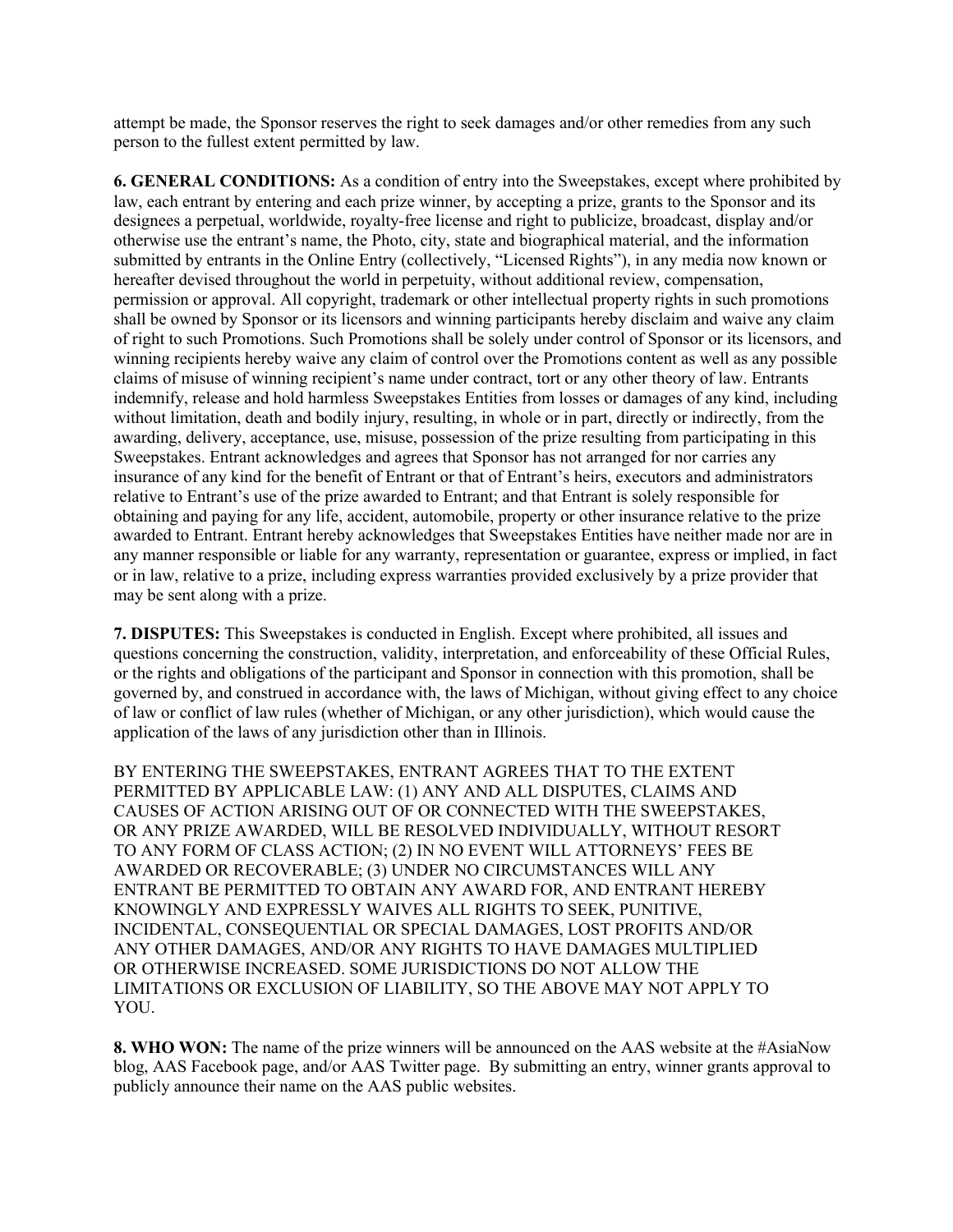attempt be made, the Sponsor reserves the right to seek damages and/or other remedies from any such person to the fullest extent permitted by law.

**6. GENERAL CONDITIONS:** As a condition of entry into the Sweepstakes, except where prohibited by law, each entrant by entering and each prize winner, by accepting a prize, grants to the Sponsor and its designees a perpetual, worldwide, royalty-free license and right to publicize, broadcast, display and/or otherwise use the entrant's name, the Photo, city, state and biographical material, and the information submitted by entrants in the Online Entry (collectively, "Licensed Rights"), in any media now known or hereafter devised throughout the world in perpetuity, without additional review, compensation, permission or approval. All copyright, trademark or other intellectual property rights in such promotions shall be owned by Sponsor or its licensors and winning participants hereby disclaim and waive any claim of right to such Promotions. Such Promotions shall be solely under control of Sponsor or its licensors, and winning recipients hereby waive any claim of control over the Promotions content as well as any possible claims of misuse of winning recipient's name under contract, tort or any other theory of law. Entrants indemnify, release and hold harmless Sweepstakes Entities from losses or damages of any kind, including without limitation, death and bodily injury, resulting, in whole or in part, directly or indirectly, from the awarding, delivery, acceptance, use, misuse, possession of the prize resulting from participating in this Sweepstakes. Entrant acknowledges and agrees that Sponsor has not arranged for nor carries any insurance of any kind for the benefit of Entrant or that of Entrant's heirs, executors and administrators relative to Entrant's use of the prize awarded to Entrant; and that Entrant is solely responsible for obtaining and paying for any life, accident, automobile, property or other insurance relative to the prize awarded to Entrant. Entrant hereby acknowledges that Sweepstakes Entities have neither made nor are in any manner responsible or liable for any warranty, representation or guarantee, express or implied, in fact or in law, relative to a prize, including express warranties provided exclusively by a prize provider that may be sent along with a prize.

**7. DISPUTES:** This Sweepstakes is conducted in English. Except where prohibited, all issues and questions concerning the construction, validity, interpretation, and enforceability of these Official Rules, or the rights and obligations of the participant and Sponsor in connection with this promotion, shall be governed by, and construed in accordance with, the laws of Michigan, without giving effect to any choice of law or conflict of law rules (whether of Michigan, or any other jurisdiction), which would cause the application of the laws of any jurisdiction other than in Illinois.

BY ENTERING THE SWEEPSTAKES, ENTRANT AGREES THAT TO THE EXTENT PERMITTED BY APPLICABLE LAW: (1) ANY AND ALL DISPUTES, CLAIMS AND CAUSES OF ACTION ARISING OUT OF OR CONNECTED WITH THE SWEEPSTAKES, OR ANY PRIZE AWARDED, WILL BE RESOLVED INDIVIDUALLY, WITHOUT RESORT TO ANY FORM OF CLASS ACTION; (2) IN NO EVENT WILL ATTORNEYS' FEES BE AWARDED OR RECOVERABLE; (3) UNDER NO CIRCUMSTANCES WILL ANY ENTRANT BE PERMITTED TO OBTAIN ANY AWARD FOR, AND ENTRANT HEREBY KNOWINGLY AND EXPRESSLY WAIVES ALL RIGHTS TO SEEK, PUNITIVE, INCIDENTAL, CONSEQUENTIAL OR SPECIAL DAMAGES, LOST PROFITS AND/OR ANY OTHER DAMAGES, AND/OR ANY RIGHTS TO HAVE DAMAGES MULTIPLIED OR OTHERWISE INCREASED. SOME JURISDICTIONS DO NOT ALLOW THE LIMITATIONS OR EXCLUSION OF LIABILITY, SO THE ABOVE MAY NOT APPLY TO YOU.

**8. WHO WON:** The name of the prize winners will be announced on the AAS website at the #AsiaNow blog, AAS Facebook page, and/or AAS Twitter page. By submitting an entry, winner grants approval to publicly announce their name on the AAS public websites.